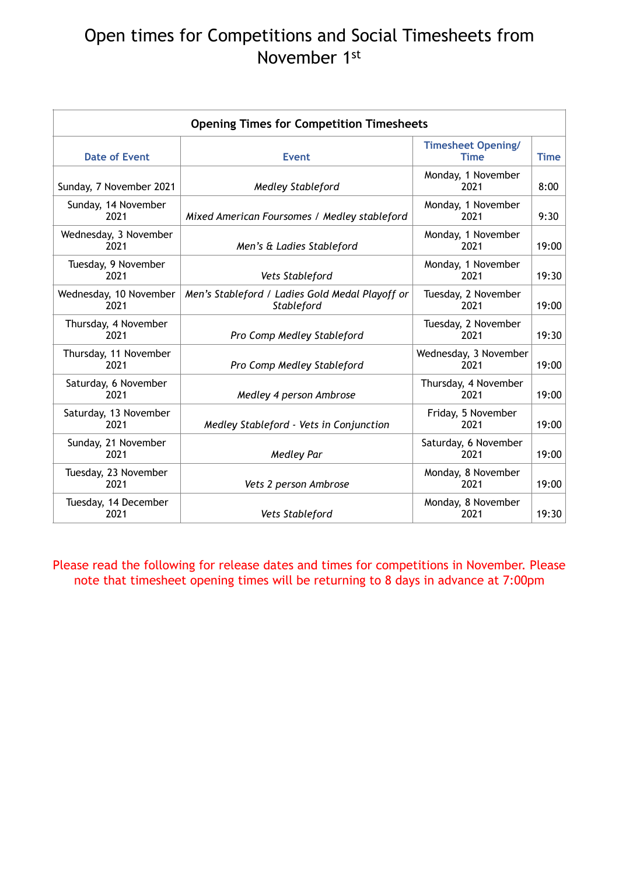## Open times for Competitions and Social Timesheets from November 1st

Please read the following for release dates and times for competitions in November. Please note that timesheet opening times will be returning to 8 days in advance at 7:00pm

| <b>Opening Times for Competition Timesheets</b> |                                                               |                                          |             |  |
|-------------------------------------------------|---------------------------------------------------------------|------------------------------------------|-------------|--|
| <b>Date of Event</b>                            | <b>Event</b>                                                  | <b>Timesheet Opening/</b><br><b>Time</b> | <b>Time</b> |  |
| Sunday, 7 November 2021                         | <b>Medley Stableford</b>                                      | Monday, 1 November<br>2021               | 8:00        |  |
| Sunday, 14 November<br>2021                     | Mixed American Foursomes / Medley stableford                  | Monday, 1 November<br>2021               | 9:30        |  |
| Wednesday, 3 November<br>2021                   | Men's & Ladies Stableford                                     | Monday, 1 November<br>2021               | 19:00       |  |
| Tuesday, 9 November<br>2021                     | <b>Vets Stableford</b>                                        | Monday, 1 November<br>2021               | 19:30       |  |
| Wednesday, 10 November<br>2021                  | Men's Stableford / Ladies Gold Medal Playoff or<br>Stableford | Tuesday, 2 November<br>2021              | 19:00       |  |
| Thursday, 4 November<br>2021                    | Pro Comp Medley Stableford                                    | Tuesday, 2 November<br>2021              | 19:30       |  |
| Thursday, 11 November<br>2021                   | Pro Comp Medley Stableford                                    | Wednesday, 3 November<br>2021            | 19:00       |  |
| Saturday, 6 November<br>2021                    | Medley 4 person Ambrose                                       | Thursday, 4 November<br>2021             | 19:00       |  |
| Saturday, 13 November<br>2021                   | Medley Stableford - Vets in Conjunction                       | Friday, 5 November<br>2021               | 19:00       |  |
| Sunday, 21 November<br>2021                     | <b>Medley Par</b>                                             | Saturday, 6 November<br>2021             | 19:00       |  |
| Tuesday, 23 November<br>2021                    | Vets 2 person Ambrose                                         | Monday, 8 November<br>2021               | 19:00       |  |
| Tuesday, 14 December<br>2021                    | <b>Vets Stableford</b>                                        | Monday, 8 November<br>2021               | 19:30       |  |